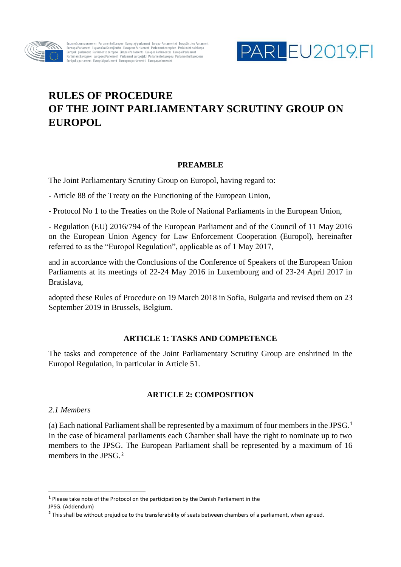

Европейски парламент Parlamento Europeo Evropský parlament Europa-Parlamentet Europäisches Parlament<br>Euroopa Parlament Eυρωπαϊκό Κοινοβούλιο European Parliament Parlement européen Parlaimint na hEorpa<br>Europskí parlament



# **RULES OF PROCEDURE OF THE JOINT PARLIAMENTARY SCRUTINY GROUP ON EUROPOL**

#### **PREAMBLE**

The Joint Parliamentary Scrutiny Group on Europol, having regard to:

- Article 88 of the Treaty on the Functioning of the European Union,

- Protocol No 1 to the Treaties on the Role of National Parliaments in the European Union,

- Regulation (EU) 2016/794 of the European Parliament and of the Council of 11 May 2016 on the European Union Agency for Law Enforcement Cooperation (Europol), hereinafter referred to as the "Europol Regulation", applicable as of 1 May 2017,

and in accordance with the Conclusions of the Conference of Speakers of the European Union Parliaments at its meetings of 22-24 May 2016 in Luxembourg and of 23-24 April 2017 in Bratislava,

adopted these Rules of Procedure on 19 March 2018 in Sofia, Bulgaria and revised them on 23 September 2019 in Brussels, Belgium.

# **ARTICLE 1: TASKS AND COMPETENCE**

The tasks and competence of the Joint Parliamentary Scrutiny Group are enshrined in the Europol Regulation, in particular in Article 51.

# **ARTICLE 2: COMPOSITION**

#### *2.1 Members*

1

(a) Each national Parliament shall be represented by a maximum of four members in the JPSG. **1** In the case of bicameral parliaments each Chamber shall have the right to nominate up to two members to the JPSG. The European Parliament shall be represented by a maximum of 16 members in the JPSG.<sup>2</sup>

**<sup>1</sup>** Please take note of the Protocol on the participation by the Danish Parliament in the JPSG. (Addendum)

**<sup>2</sup>** This shall be without prejudice to the transferability of seats between chambers of a parliament, when agreed.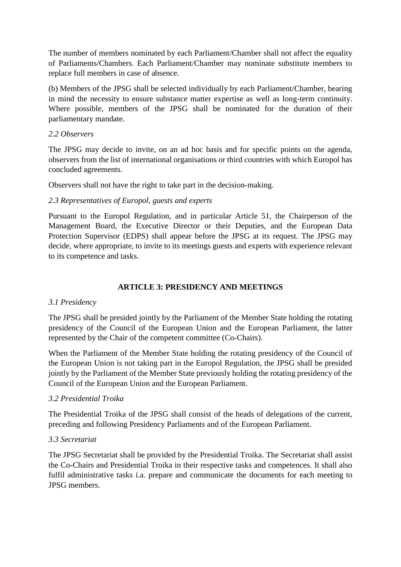The number of members nominated by each Parliament/Chamber shall not affect the equality of Parliaments/Chambers. Each Parliament/Chamber may nominate substitute members to replace full members in case of absence.

(b) Members of the JPSG shall be selected individually by each Parliament/Chamber, bearing in mind the necessity to ensure substance matter expertise as well as long-term continuity. Where possible, members of the JPSG shall be nominated for the duration of their parliamentary mandate.

## *2.2 Observers*

The JPSG may decide to invite, on an ad hoc basis and for specific points on the agenda, observers from the list of international organisations or third countries with which Europol has concluded agreements.

Observers shall not have the right to take part in the decision-making.

## *2.3 Representatives of Europol, guests and experts*

Pursuant to the Europol Regulation, and in particular Article 51, the Chairperson of the Management Board, the Executive Director or their Deputies, and the European Data Protection Supervisor (EDPS) shall appear before the JPSG at its request. The JPSG may decide, where appropriate, to invite to its meetings guests and experts with experience relevant to its competence and tasks.

# **ARTICLE 3: PRESIDENCY AND MEETINGS**

#### *3.1 Presidency*

The JPSG shall be presided jointly by the Parliament of the Member State holding the rotating presidency of the Council of the European Union and the European Parliament, the latter represented by the Chair of the competent committee (Co-Chairs).

When the Parliament of the Member State holding the rotating presidency of the Council of the European Union is not taking part in the Europol Regulation, the JPSG shall be presided jointly by the Parliament of the Member State previously holding the rotating presidency of the Council of the European Union and the European Parliament.

#### *3.2 Presidential Troika*

The Presidential Troika of the JPSG shall consist of the heads of delegations of the current, preceding and following Presidency Parliaments and of the European Parliament.

#### *3.3 Secretariat*

The JPSG Secretariat shall be provided by the Presidential Troika. The Secretariat shall assist the Co-Chairs and Presidential Troika in their respective tasks and competences. It shall also fulfil administrative tasks i.a. prepare and communicate the documents for each meeting to JPSG members.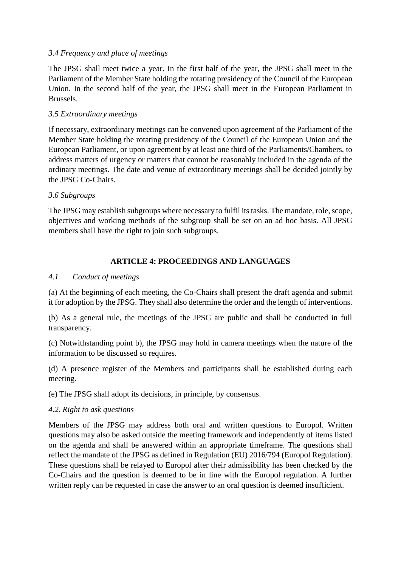# *3.4 Frequency and place of meetings*

The JPSG shall meet twice a year. In the first half of the year, the JPSG shall meet in the Parliament of the Member State holding the rotating presidency of the Council of the European Union. In the second half of the year, the JPSG shall meet in the European Parliament in Brussels.

# *3.5 Extraordinary meetings*

If necessary, extraordinary meetings can be convened upon agreement of the Parliament of the Member State holding the rotating presidency of the Council of the European Union and the European Parliament, or upon agreement by at least one third of the Parliaments/Chambers, to address matters of urgency or matters that cannot be reasonably included in the agenda of the ordinary meetings. The date and venue of extraordinary meetings shall be decided jointly by the JPSG Co-Chairs.

# *3.6 Subgroups*

The JPSG may establish subgroups where necessary to fulfil its tasks. The mandate, role, scope, objectives and working methods of the subgroup shall be set on an ad hoc basis. All JPSG members shall have the right to join such subgroups.

# **ARTICLE 4: PROCEEDINGS AND LANGUAGES**

# *4.1 Conduct of meetings*

(a) At the beginning of each meeting, the Co-Chairs shall present the draft agenda and submit it for adoption by the JPSG. They shall also determine the order and the length of interventions.

(b) As a general rule, the meetings of the JPSG are public and shall be conducted in full transparency.

(c) Notwithstanding point b), the JPSG may hold in camera meetings when the nature of the information to be discussed so requires.

(d) A presence register of the Members and participants shall be established during each meeting.

(e) The JPSG shall adopt its decisions, in principle, by consensus.

# *4.2. Right to ask questions*

Members of the JPSG may address both oral and written questions to Europol. Written questions may also be asked outside the meeting framework and independently of items listed on the agenda and shall be answered within an appropriate timeframe. The questions shall reflect the mandate of the JPSG as defined in Regulation (EU) 2016/794 (Europol Regulation). These questions shall be relayed to Europol after their admissibility has been checked by the Co-Chairs and the question is deemed to be in line with the Europol regulation. A further written reply can be requested in case the answer to an oral question is deemed insufficient.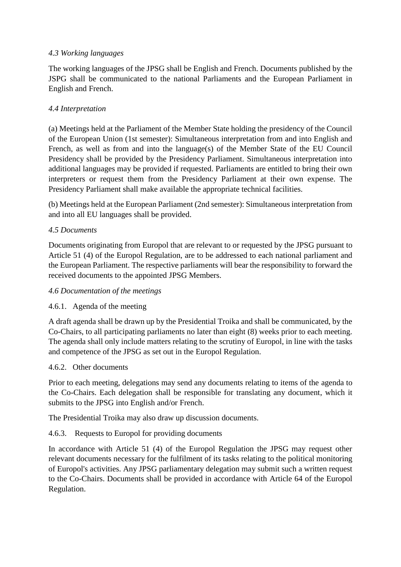# *4.3 Working languages*

The working languages of the JPSG shall be English and French. Documents published by the JSPG shall be communicated to the national Parliaments and the European Parliament in English and French.

# *4.4 Interpretation*

(a) Meetings held at the Parliament of the Member State holding the presidency of the Council of the European Union (1st semester): Simultaneous interpretation from and into English and French, as well as from and into the language(s) of the Member State of the EU Council Presidency shall be provided by the Presidency Parliament. Simultaneous interpretation into additional languages may be provided if requested. Parliaments are entitled to bring their own interpreters or request them from the Presidency Parliament at their own expense. The Presidency Parliament shall make available the appropriate technical facilities.

(b) Meetings held at the European Parliament (2nd semester): Simultaneous interpretation from and into all EU languages shall be provided.

# *4.5 Documents*

Documents originating from Europol that are relevant to or requested by the JPSG pursuant to Article 51 (4) of the Europol Regulation, are to be addressed to each national parliament and the European Parliament. The respective parliaments will bear the responsibility to forward the received documents to the appointed JPSG Members.

# *4.6 Documentation of the meetings*

# 4.6.1. Agenda of the meeting

A draft agenda shall be drawn up by the Presidential Troika and shall be communicated, by the Co-Chairs, to all participating parliaments no later than eight (8) weeks prior to each meeting. The agenda shall only include matters relating to the scrutiny of Europol, in line with the tasks and competence of the JPSG as set out in the Europol Regulation.

# 4.6.2. Other documents

Prior to each meeting, delegations may send any documents relating to items of the agenda to the Co-Chairs. Each delegation shall be responsible for translating any document, which it submits to the JPSG into English and/or French.

The Presidential Troika may also draw up discussion documents.

# 4.6.3. Requests to Europol for providing documents

In accordance with Article 51 (4) of the Europol Regulation the JPSG may request other relevant documents necessary for the fulfilment of its tasks relating to the political monitoring of Europol's activities. Any JPSG parliamentary delegation may submit such a written request to the Co-Chairs. Documents shall be provided in accordance with Article 64 of the Europol Regulation.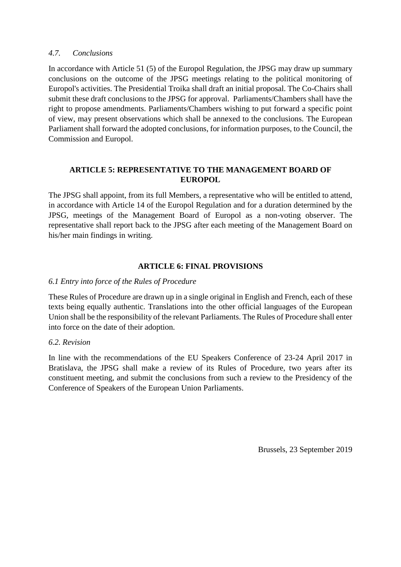## *4.7. Conclusions*

In accordance with Article 51 (5) of the Europol Regulation, the JPSG may draw up summary conclusions on the outcome of the JPSG meetings relating to the political monitoring of Europol's activities. The Presidential Troika shall draft an initial proposal. The Co-Chairs shall submit these draft conclusions to the JPSG for approval. Parliaments/Chambers shall have the right to propose amendments. Parliaments/Chambers wishing to put forward a specific point of view, may present observations which shall be annexed to the conclusions. The European Parliament shall forward the adopted conclusions, for information purposes, to the Council, the Commission and Europol.

# **ARTICLE 5: REPRESENTATIVE TO THE MANAGEMENT BOARD OF EUROPOL**

The JPSG shall appoint, from its full Members, a representative who will be entitled to attend, in accordance with Article 14 of the Europol Regulation and for a duration determined by the JPSG, meetings of the Management Board of Europol as a non-voting observer. The representative shall report back to the JPSG after each meeting of the Management Board on his/her main findings in writing.

# **ARTICLE 6: FINAL PROVISIONS**

## *6.1 Entry into force of the Rules of Procedure*

These Rules of Procedure are drawn up in a single original in English and French, each of these texts being equally authentic. Translations into the other official languages of the European Union shall be the responsibility of the relevant Parliaments. The Rules of Procedure shall enter into force on the date of their adoption.

#### *6.2. Revision*

In line with the recommendations of the EU Speakers Conference of 23-24 April 2017 in Bratislava, the JPSG shall make a review of its Rules of Procedure, two years after its constituent meeting, and submit the conclusions from such a review to the Presidency of the Conference of Speakers of the European Union Parliaments.

Brussels, 23 September 2019